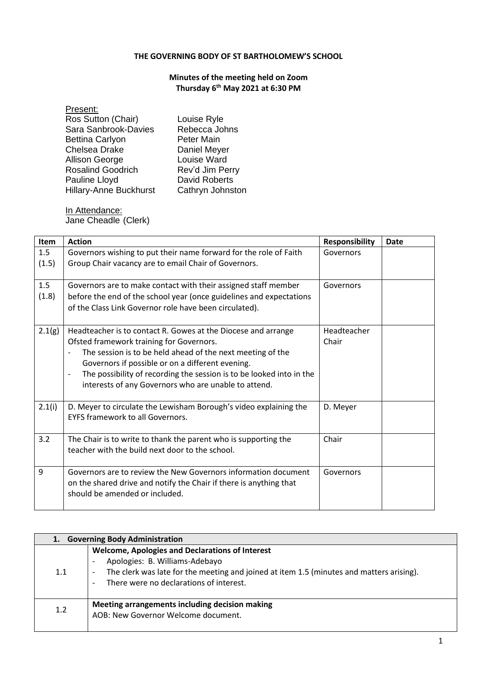## **THE GOVERNING BODY OF ST BARTHOLOMEW'S SCHOOL**

## **Minutes of the meeting held on Zoom Thursday 6 th May 2021 at 6:30 PM**

| Present:                      |                      |
|-------------------------------|----------------------|
| Ros Sutton (Chair)            | Louise Ryle          |
| Sara Sanbrook-Davies          | Rebecca Johns        |
| <b>Bettina Carlyon</b>        | <b>Peter Main</b>    |
| <b>Chelsea Drake</b>          | Daniel Meyer         |
| <b>Allison George</b>         | Louise Ward          |
| <b>Rosalind Goodrich</b>      | Rev'd Jim Perry      |
| Pauline Lloyd                 | <b>David Roberts</b> |
| <b>Hillary-Anne Buckhurst</b> | Cathryn Johnston     |
|                               |                      |

In Attendance: Jane Cheadle (Clerk)

| <b>Item</b> | <b>Action</b>                                                                                                | <b>Responsibility</b> | Date |
|-------------|--------------------------------------------------------------------------------------------------------------|-----------------------|------|
| 1.5         | Governors wishing to put their name forward for the role of Faith                                            | Governors             |      |
| (1.5)       | Group Chair vacancy are to email Chair of Governors.                                                         |                       |      |
|             |                                                                                                              |                       |      |
| 1.5         | Governors are to make contact with their assigned staff member                                               | Governors             |      |
| (1.8)       | before the end of the school year (once guidelines and expectations                                          |                       |      |
|             | of the Class Link Governor role have been circulated).                                                       |                       |      |
|             |                                                                                                              |                       |      |
| 2.1(g)      | Headteacher is to contact R. Gowes at the Diocese and arrange                                                | Headteacher           |      |
|             | Ofsted framework training for Governors.                                                                     | Chair                 |      |
|             | The session is to be held ahead of the next meeting of the<br>Ĭ.                                             |                       |      |
|             | Governors if possible or on a different evening.                                                             |                       |      |
|             | The possibility of recording the session is to be looked into in the<br>$\overline{\phantom{0}}$             |                       |      |
|             | interests of any Governors who are unable to attend.                                                         |                       |      |
|             |                                                                                                              |                       |      |
| 2.1(i)      | D. Meyer to circulate the Lewisham Borough's video explaining the<br><b>EYFS framework to all Governors.</b> | D. Meyer              |      |
|             |                                                                                                              |                       |      |
| 3.2         | The Chair is to write to thank the parent who is supporting the                                              | Chair                 |      |
|             | teacher with the build next door to the school.                                                              |                       |      |
|             |                                                                                                              |                       |      |
| 9           | Governors are to review the New Governors information document                                               | Governors             |      |
|             | on the shared drive and notify the Chair if there is anything that                                           |                       |      |
|             | should be amended or included.                                                                               |                       |      |
|             |                                                                                                              |                       |      |

|     | 1. Governing Body Administration                                                                                                                                                                                                                            |
|-----|-------------------------------------------------------------------------------------------------------------------------------------------------------------------------------------------------------------------------------------------------------------|
| 1.1 | <b>Welcome, Apologies and Declarations of Interest</b><br>Apologies: B. Williams-Adebayo<br>The clerk was late for the meeting and joined at item 1.5 (minutes and matters arising).<br>$\overline{\phantom{a}}$<br>There were no declarations of interest. |
| 1.2 | Meeting arrangements including decision making<br>AOB: New Governor Welcome document.                                                                                                                                                                       |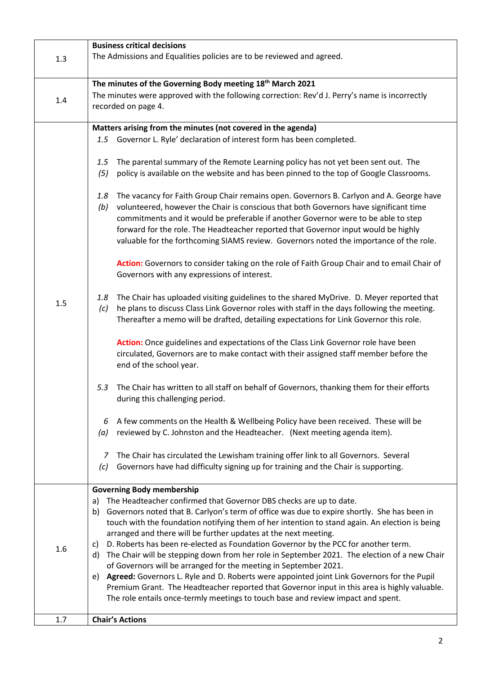| 1.3 | <b>Business critical decisions</b><br>The Admissions and Equalities policies are to be reviewed and agreed.                                                                                                                                                                                                                                                                                                                                                                                                                                                                                                                                                                                                                                                                                                                                                                                                      |
|-----|------------------------------------------------------------------------------------------------------------------------------------------------------------------------------------------------------------------------------------------------------------------------------------------------------------------------------------------------------------------------------------------------------------------------------------------------------------------------------------------------------------------------------------------------------------------------------------------------------------------------------------------------------------------------------------------------------------------------------------------------------------------------------------------------------------------------------------------------------------------------------------------------------------------|
|     |                                                                                                                                                                                                                                                                                                                                                                                                                                                                                                                                                                                                                                                                                                                                                                                                                                                                                                                  |
| 1.4 | The minutes of the Governing Body meeting 18 <sup>th</sup> March 2021<br>The minutes were approved with the following correction: Rev'd J. Perry's name is incorrectly<br>recorded on page 4.                                                                                                                                                                                                                                                                                                                                                                                                                                                                                                                                                                                                                                                                                                                    |
|     | Matters arising from the minutes (not covered in the agenda)                                                                                                                                                                                                                                                                                                                                                                                                                                                                                                                                                                                                                                                                                                                                                                                                                                                     |
|     | 1.5 Governor L. Ryle' declaration of interest form has been completed.                                                                                                                                                                                                                                                                                                                                                                                                                                                                                                                                                                                                                                                                                                                                                                                                                                           |
| 1.5 | The parental summary of the Remote Learning policy has not yet been sent out. The<br>1.5<br>policy is available on the website and has been pinned to the top of Google Classrooms.<br>(5)                                                                                                                                                                                                                                                                                                                                                                                                                                                                                                                                                                                                                                                                                                                       |
|     | The vacancy for Faith Group Chair remains open. Governors B. Carlyon and A. George have<br>1.8<br>volunteered, however the Chair is conscious that both Governors have significant time<br>(b)<br>commitments and it would be preferable if another Governor were to be able to step<br>forward for the role. The Headteacher reported that Governor input would be highly<br>valuable for the forthcoming SIAMS review. Governors noted the importance of the role.                                                                                                                                                                                                                                                                                                                                                                                                                                             |
|     | Action: Governors to consider taking on the role of Faith Group Chair and to email Chair of<br>Governors with any expressions of interest.                                                                                                                                                                                                                                                                                                                                                                                                                                                                                                                                                                                                                                                                                                                                                                       |
|     | The Chair has uploaded visiting guidelines to the shared MyDrive. D. Meyer reported that<br>1.8<br>he plans to discuss Class Link Governor roles with staff in the days following the meeting.<br>(c)<br>Thereafter a memo will be drafted, detailing expectations for Link Governor this role.                                                                                                                                                                                                                                                                                                                                                                                                                                                                                                                                                                                                                  |
|     | Action: Once guidelines and expectations of the Class Link Governor role have been<br>circulated, Governors are to make contact with their assigned staff member before the<br>end of the school year.                                                                                                                                                                                                                                                                                                                                                                                                                                                                                                                                                                                                                                                                                                           |
|     | The Chair has written to all staff on behalf of Governors, thanking them for their efforts<br>5.3<br>during this challenging period.                                                                                                                                                                                                                                                                                                                                                                                                                                                                                                                                                                                                                                                                                                                                                                             |
|     | A few comments on the Health & Wellbeing Policy have been received. These will be<br>6<br>reviewed by C. Johnston and the Headteacher. (Next meeting agenda item).<br>(a)                                                                                                                                                                                                                                                                                                                                                                                                                                                                                                                                                                                                                                                                                                                                        |
|     | The Chair has circulated the Lewisham training offer link to all Governors. Several<br>7<br>Governors have had difficulty signing up for training and the Chair is supporting.<br>(c)                                                                                                                                                                                                                                                                                                                                                                                                                                                                                                                                                                                                                                                                                                                            |
|     | <b>Governing Body membership</b>                                                                                                                                                                                                                                                                                                                                                                                                                                                                                                                                                                                                                                                                                                                                                                                                                                                                                 |
| 1.6 | The Headteacher confirmed that Governor DBS checks are up to date.<br>a)<br>Governors noted that B. Carlyon's term of office was due to expire shortly. She has been in<br>b)<br>touch with the foundation notifying them of her intention to stand again. An election is being<br>arranged and there will be further updates at the next meeting.<br>D. Roberts has been re-elected as Foundation Governor by the PCC for another term.<br>C)<br>The Chair will be stepping down from her role in September 2021. The election of a new Chair<br>d)<br>of Governors will be arranged for the meeting in September 2021.<br>Agreed: Governors L. Ryle and D. Roberts were appointed joint Link Governors for the Pupil<br>e)<br>Premium Grant. The Headteacher reported that Governor input in this area is highly valuable.<br>The role entails once-termly meetings to touch base and review impact and spent. |
| 1.7 | <b>Chair's Actions</b>                                                                                                                                                                                                                                                                                                                                                                                                                                                                                                                                                                                                                                                                                                                                                                                                                                                                                           |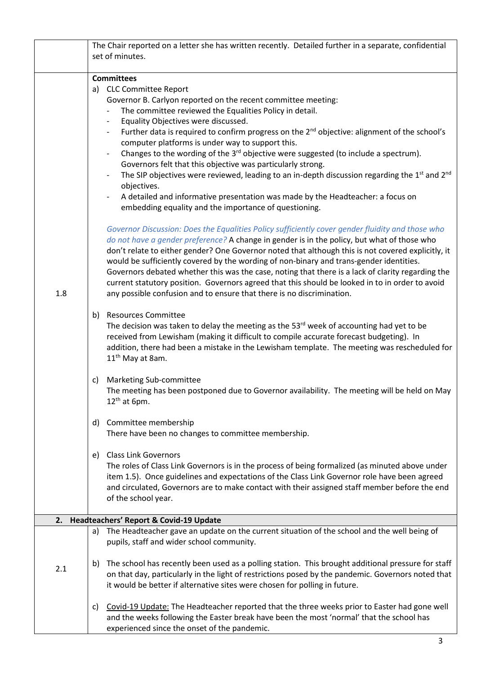|     | The Chair reported on a letter she has written recently. Detailed further in a separate, confidential                                    |
|-----|------------------------------------------------------------------------------------------------------------------------------------------|
|     | set of minutes.                                                                                                                          |
|     | <b>Committees</b>                                                                                                                        |
|     | a) CLC Committee Report                                                                                                                  |
|     | Governor B. Carlyon reported on the recent committee meeting:                                                                            |
|     | The committee reviewed the Equalities Policy in detail.                                                                                  |
|     | Equality Objectives were discussed.                                                                                                      |
|     | Further data is required to confirm progress on the $2^{nd}$ objective: alignment of the school's                                        |
|     | computer platforms is under way to support this.                                                                                         |
|     | Changes to the wording of the 3 <sup>rd</sup> objective were suggested (to include a spectrum).                                          |
|     | Governors felt that this objective was particularly strong.                                                                              |
|     | The SIP objectives were reviewed, leading to an in-depth discussion regarding the 1st and 2nd                                            |
|     | objectives.                                                                                                                              |
|     | A detailed and informative presentation was made by the Headteacher: a focus on                                                          |
|     | embedding equality and the importance of questioning.                                                                                    |
|     | Governor Discussion: Does the Equalities Policy sufficiently cover gender fluidity and those who                                         |
|     | do not have a gender preference? A change in gender is in the policy, but what of those who                                              |
|     | don't relate to either gender? One Governor noted that although this is not covered explicitly, it                                       |
|     | would be sufficiently covered by the wording of non-binary and trans-gender identities.                                                  |
|     | Governors debated whether this was the case, noting that there is a lack of clarity regarding the                                        |
|     | current statutory position. Governors agreed that this should be looked in to in order to avoid                                          |
| 1.8 | any possible confusion and to ensure that there is no discrimination.                                                                    |
|     | <b>Resources Committee</b><br>b)                                                                                                         |
|     | The decision was taken to delay the meeting as the $53^{rd}$ week of accounting had yet to be                                            |
|     | received from Lewisham (making it difficult to compile accurate forecast budgeting). In                                                  |
|     | addition, there had been a mistake in the Lewisham template. The meeting was rescheduled for                                             |
|     | 11 <sup>th</sup> May at 8am.                                                                                                             |
|     | Marketing Sub-committee<br>c)                                                                                                            |
|     | The meeting has been postponed due to Governor availability. The meeting will be held on May                                             |
|     | $12th$ at 6pm.                                                                                                                           |
|     | Committee membership<br>d)                                                                                                               |
|     | There have been no changes to committee membership.                                                                                      |
|     |                                                                                                                                          |
|     | <b>Class Link Governors</b><br>e)                                                                                                        |
|     | The roles of Class Link Governors is in the process of being formalized (as minuted above under                                          |
|     | item 1.5). Once guidelines and expectations of the Class Link Governor role have been agreed                                             |
|     | and circulated, Governors are to make contact with their assigned staff member before the end<br>of the school year.                     |
|     |                                                                                                                                          |
|     | 2. Headteachers' Report & Covid-19 Update                                                                                                |
|     | The Headteacher gave an update on the current situation of the school and the well being of<br>a)                                        |
|     | pupils, staff and wider school community.                                                                                                |
|     | The school has recently been used as a polling station. This brought additional pressure for staff<br>b)                                 |
| 2.1 | on that day, particularly in the light of restrictions posed by the pandemic. Governors noted that                                       |
|     | it would be better if alternative sites were chosen for polling in future.                                                               |
|     |                                                                                                                                          |
|     | Covid-19 Update: The Headteacher reported that the three weeks prior to Easter had gone well<br>C)                                       |
|     | and the weeks following the Easter break have been the most 'normal' that the school has<br>experienced since the onset of the pandemic. |
|     |                                                                                                                                          |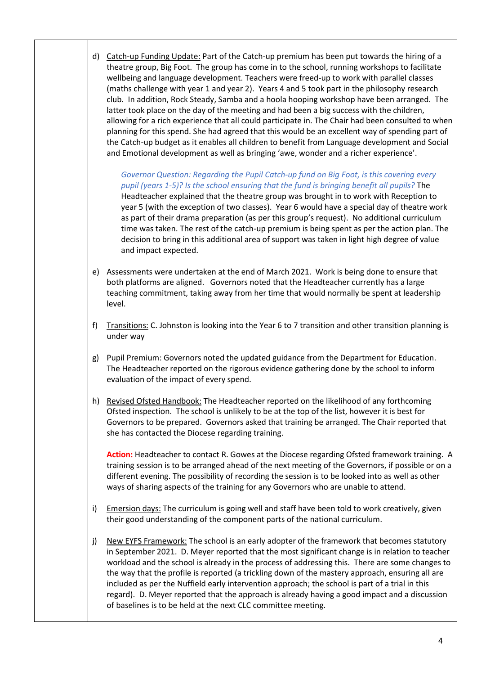d) Catch-up Funding Update: Part of the Catch-up premium has been put towards the hiring of a theatre group, Big Foot. The group has come in to the school, running workshops to facilitate wellbeing and language development. Teachers were freed-up to work with parallel classes (maths challenge with year 1 and year 2). Years 4 and 5 took part in the philosophy research club. In addition, Rock Steady, Samba and a hoola hooping workshop have been arranged. The latter took place on the day of the meeting and had been a big success with the children, allowing for a rich experience that all could participate in. The Chair had been consulted to when planning for this spend. She had agreed that this would be an excellent way of spending part of the Catch-up budget as it enables all children to benefit from Language development and Social and Emotional development as well as bringing 'awe, wonder and a richer experience'.

*Governor Question: Regarding the Pupil Catch-up fund on Big Foot, is this covering every pupil (years 1-5)? Is the school ensuring that the fund is bringing benefit all pupils?* The Headteacher explained that the theatre group was brought in to work with Reception to year 5 (with the exception of two classes). Year 6 would have a special day of theatre work as part of their drama preparation (as per this group's request). No additional curriculum time was taken. The rest of the catch-up premium is being spent as per the action plan. The decision to bring in this additional area of support was taken in light high degree of value and impact expected.

- e) Assessments were undertaken at the end of March 2021. Work is being done to ensure that both platforms are aligned. Governors noted that the Headteacher currently has a large teaching commitment, taking away from her time that would normally be spent at leadership level.
- f) Transitions: C. Johnston is looking into the Year 6 to 7 transition and other transition planning is under way
- g) Pupil Premium: Governors noted the updated guidance from the Department for Education. The Headteacher reported on the rigorous evidence gathering done by the school to inform evaluation of the impact of every spend.
- h) Revised Ofsted Handbook: The Headteacher reported on the likelihood of any forthcoming Ofsted inspection. The school is unlikely to be at the top of the list, however it is best for Governors to be prepared. Governors asked that training be arranged. The Chair reported that she has contacted the Diocese regarding training.

**Action:** Headteacher to contact R. Gowes at the Diocese regarding Ofsted framework training. A training session is to be arranged ahead of the next meeting of the Governors, if possible or on a different evening. The possibility of recording the session is to be looked into as well as other ways of sharing aspects of the training for any Governors who are unable to attend.

- i) Emersion days: The curriculum is going well and staff have been told to work creatively, given their good understanding of the component parts of the national curriculum.
- j) New EYFS Framework: The school is an early adopter of the framework that becomes statutory in September 2021. D. Meyer reported that the most significant change is in relation to teacher workload and the school is already in the process of addressing this. There are some changes to the way that the profile is reported (a trickling down of the mastery approach, ensuring all are included as per the Nuffield early intervention approach; the school is part of a trial in this regard). D. Meyer reported that the approach is already having a good impact and a discussion of baselines is to be held at the next CLC committee meeting.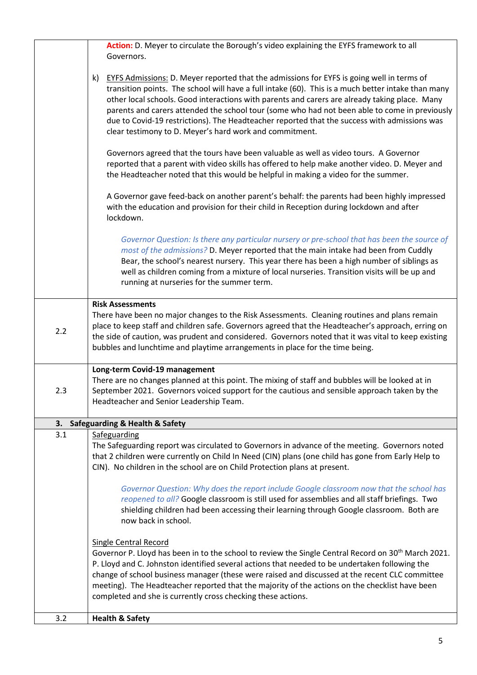|     | Action: D. Meyer to circulate the Borough's video explaining the EYFS framework to all<br>Governors.                                                                                                                                                                                                                                                                                                                                                                                                                                                                                   |
|-----|----------------------------------------------------------------------------------------------------------------------------------------------------------------------------------------------------------------------------------------------------------------------------------------------------------------------------------------------------------------------------------------------------------------------------------------------------------------------------------------------------------------------------------------------------------------------------------------|
|     | EYFS Admissions: D. Meyer reported that the admissions for EYFS is going well in terms of<br>k)<br>transition points. The school will have a full intake (60). This is a much better intake than many<br>other local schools. Good interactions with parents and carers are already taking place. Many<br>parents and carers attended the school tour (some who had not been able to come in previously<br>due to Covid-19 restrictions). The Headteacher reported that the success with admissions was<br>clear testimony to D. Meyer's hard work and commitment.                     |
|     | Governors agreed that the tours have been valuable as well as video tours. A Governor<br>reported that a parent with video skills has offered to help make another video. D. Meyer and<br>the Headteacher noted that this would be helpful in making a video for the summer.                                                                                                                                                                                                                                                                                                           |
|     | A Governor gave feed-back on another parent's behalf: the parents had been highly impressed<br>with the education and provision for their child in Reception during lockdown and after<br>lockdown.                                                                                                                                                                                                                                                                                                                                                                                    |
|     | Governor Question: Is there any particular nursery or pre-school that has been the source of<br>most of the admissions? D. Meyer reported that the main intake had been from Cuddly<br>Bear, the school's nearest nursery. This year there has been a high number of siblings as<br>well as children coming from a mixture of local nurseries. Transition visits will be up and<br>running at nurseries for the summer term.                                                                                                                                                           |
| 2.2 | <b>Risk Assessments</b><br>There have been no major changes to the Risk Assessments. Cleaning routines and plans remain<br>place to keep staff and children safe. Governors agreed that the Headteacher's approach, erring on<br>the side of caution, was prudent and considered. Governors noted that it was vital to keep existing<br>bubbles and lunchtime and playtime arrangements in place for the time being.                                                                                                                                                                   |
| 2.3 | Long-term Covid-19 management<br>There are no changes planned at this point. The mixing of staff and bubbles will be looked at in<br>September 2021. Governors voiced support for the cautious and sensible approach taken by the<br>Headteacher and Senior Leadership Team.                                                                                                                                                                                                                                                                                                           |
| 3.  | <b>Safeguarding &amp; Health &amp; Safety</b>                                                                                                                                                                                                                                                                                                                                                                                                                                                                                                                                          |
| 3.1 | Safeguarding<br>The Safeguarding report was circulated to Governors in advance of the meeting. Governors noted<br>that 2 children were currently on Child In Need (CIN) plans (one child has gone from Early Help to<br>CIN). No children in the school are on Child Protection plans at present.<br>Governor Question: Why does the report include Google classroom now that the school has<br>reopened to all? Google classroom is still used for assemblies and all staff briefings. Two<br>shielding children had been accessing their learning through Google classroom. Both are |
|     | now back in school.<br><b>Single Central Record</b><br>Governor P. Lloyd has been in to the school to review the Single Central Record on 30 <sup>th</sup> March 2021.                                                                                                                                                                                                                                                                                                                                                                                                                 |
|     | P. Lloyd and C. Johnston identified several actions that needed to be undertaken following the<br>change of school business manager (these were raised and discussed at the recent CLC committee<br>meeting). The Headteacher reported that the majority of the actions on the checklist have been<br>completed and she is currently cross checking these actions.                                                                                                                                                                                                                     |
| 3.2 | <b>Health &amp; Safety</b>                                                                                                                                                                                                                                                                                                                                                                                                                                                                                                                                                             |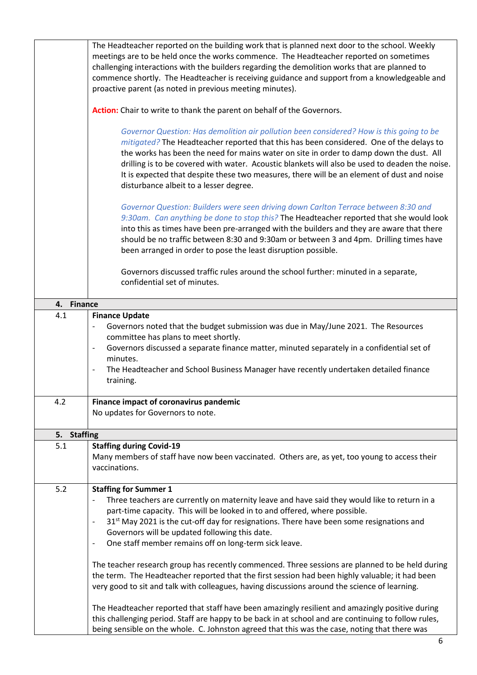| The Headteacher reported on the building work that is planned next door to the school. Weekly<br>meetings are to be held once the works commence. The Headteacher reported on sometimes<br>challenging interactions with the builders regarding the demolition works that are planned to<br>commence shortly. The Headteacher is receiving guidance and support from a knowledgeable and<br>proactive parent (as noted in previous meeting minutes).                                                                                                                                                                                                                                                                                                                                                                                                                                                                                                                                                                                                               |
|--------------------------------------------------------------------------------------------------------------------------------------------------------------------------------------------------------------------------------------------------------------------------------------------------------------------------------------------------------------------------------------------------------------------------------------------------------------------------------------------------------------------------------------------------------------------------------------------------------------------------------------------------------------------------------------------------------------------------------------------------------------------------------------------------------------------------------------------------------------------------------------------------------------------------------------------------------------------------------------------------------------------------------------------------------------------|
| Action: Chair to write to thank the parent on behalf of the Governors.                                                                                                                                                                                                                                                                                                                                                                                                                                                                                                                                                                                                                                                                                                                                                                                                                                                                                                                                                                                             |
| Governor Question: Has demolition air pollution been considered? How is this going to be<br>mitigated? The Headteacher reported that this has been considered. One of the delays to<br>the works has been the need for mains water on site in order to damp down the dust. All<br>drilling is to be covered with water. Acoustic blankets will also be used to deaden the noise.<br>It is expected that despite these two measures, there will be an element of dust and noise<br>disturbance albeit to a lesser degree.                                                                                                                                                                                                                                                                                                                                                                                                                                                                                                                                           |
| Governor Question: Builders were seen driving down Carlton Terrace between 8:30 and<br>9:30am. Can anything be done to stop this? The Headteacher reported that she would look<br>into this as times have been pre-arranged with the builders and they are aware that there<br>should be no traffic between 8:30 and 9:30am or between 3 and 4pm. Drilling times have<br>been arranged in order to pose the least disruption possible.                                                                                                                                                                                                                                                                                                                                                                                                                                                                                                                                                                                                                             |
| Governors discussed traffic rules around the school further: minuted in a separate,<br>confidential set of minutes.                                                                                                                                                                                                                                                                                                                                                                                                                                                                                                                                                                                                                                                                                                                                                                                                                                                                                                                                                |
| <b>Finance</b>                                                                                                                                                                                                                                                                                                                                                                                                                                                                                                                                                                                                                                                                                                                                                                                                                                                                                                                                                                                                                                                     |
| <b>Finance Update</b><br>Governors noted that the budget submission was due in May/June 2021. The Resources<br>committee has plans to meet shortly.<br>Governors discussed a separate finance matter, minuted separately in a confidential set of<br>$\qquad \qquad \blacksquare$<br>minutes.<br>The Headteacher and School Business Manager have recently undertaken detailed finance<br>$\qquad \qquad \blacksquare$<br>training.                                                                                                                                                                                                                                                                                                                                                                                                                                                                                                                                                                                                                                |
| Finance impact of coronavirus pandemic<br>No updates for Governors to note.                                                                                                                                                                                                                                                                                                                                                                                                                                                                                                                                                                                                                                                                                                                                                                                                                                                                                                                                                                                        |
| <b>Staffing</b>                                                                                                                                                                                                                                                                                                                                                                                                                                                                                                                                                                                                                                                                                                                                                                                                                                                                                                                                                                                                                                                    |
| <b>Staffing during Covid-19</b><br>Many members of staff have now been vaccinated. Others are, as yet, too young to access their<br>vaccinations.                                                                                                                                                                                                                                                                                                                                                                                                                                                                                                                                                                                                                                                                                                                                                                                                                                                                                                                  |
| <b>Staffing for Summer 1</b><br>Three teachers are currently on maternity leave and have said they would like to return in a<br>part-time capacity. This will be looked in to and offered, where possible.<br>31 <sup>st</sup> May 2021 is the cut-off day for resignations. There have been some resignations and<br>$\overline{a}$<br>Governors will be updated following this date.<br>One staff member remains off on long-term sick leave.<br>The teacher research group has recently commenced. Three sessions are planned to be held during<br>the term. The Headteacher reported that the first session had been highly valuable; it had been<br>very good to sit and talk with colleagues, having discussions around the science of learning.<br>The Headteacher reported that staff have been amazingly resilient and amazingly positive during<br>this challenging period. Staff are happy to be back in at school and are continuing to follow rules,<br>being sensible on the whole. C. Johnston agreed that this was the case, noting that there was |
|                                                                                                                                                                                                                                                                                                                                                                                                                                                                                                                                                                                                                                                                                                                                                                                                                                                                                                                                                                                                                                                                    |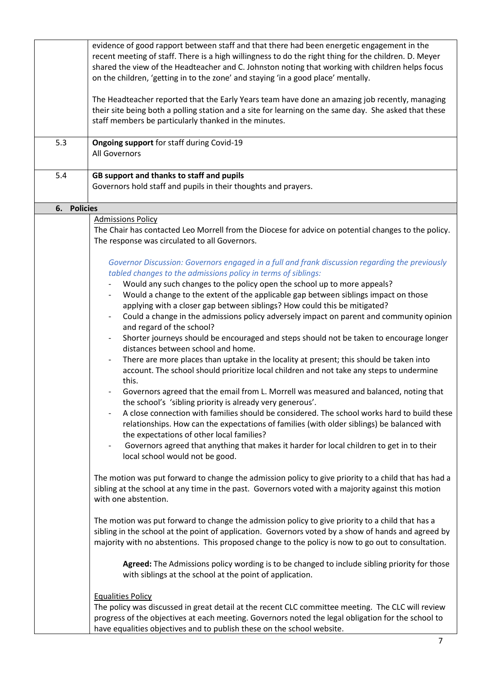| 5.3                   | evidence of good rapport between staff and that there had been energetic engagement in the<br>recent meeting of staff. There is a high willingness to do the right thing for the children. D. Meyer<br>shared the view of the Headteacher and C. Johnston noting that working with children helps focus<br>on the children, 'getting in to the zone' and staying 'in a good place' mentally.<br>The Headteacher reported that the Early Years team have done an amazing job recently, managing<br>their site being both a polling station and a site for learning on the same day. She asked that these<br>staff members be particularly thanked in the minutes.<br>Ongoing support for staff during Covid-19                                                                                                                                                                                                                                                                                                                                                                                                                                                                                                                                                                                                                                                                                                                                                      |
|-----------------------|--------------------------------------------------------------------------------------------------------------------------------------------------------------------------------------------------------------------------------------------------------------------------------------------------------------------------------------------------------------------------------------------------------------------------------------------------------------------------------------------------------------------------------------------------------------------------------------------------------------------------------------------------------------------------------------------------------------------------------------------------------------------------------------------------------------------------------------------------------------------------------------------------------------------------------------------------------------------------------------------------------------------------------------------------------------------------------------------------------------------------------------------------------------------------------------------------------------------------------------------------------------------------------------------------------------------------------------------------------------------------------------------------------------------------------------------------------------------|
|                       | All Governors                                                                                                                                                                                                                                                                                                                                                                                                                                                                                                                                                                                                                                                                                                                                                                                                                                                                                                                                                                                                                                                                                                                                                                                                                                                                                                                                                                                                                                                      |
| 5.4                   | GB support and thanks to staff and pupils<br>Governors hold staff and pupils in their thoughts and prayers.                                                                                                                                                                                                                                                                                                                                                                                                                                                                                                                                                                                                                                                                                                                                                                                                                                                                                                                                                                                                                                                                                                                                                                                                                                                                                                                                                        |
| <b>Policies</b><br>6. |                                                                                                                                                                                                                                                                                                                                                                                                                                                                                                                                                                                                                                                                                                                                                                                                                                                                                                                                                                                                                                                                                                                                                                                                                                                                                                                                                                                                                                                                    |
|                       | <b>Admissions Policy</b><br>The Chair has contacted Leo Morrell from the Diocese for advice on potential changes to the policy.<br>The response was circulated to all Governors.                                                                                                                                                                                                                                                                                                                                                                                                                                                                                                                                                                                                                                                                                                                                                                                                                                                                                                                                                                                                                                                                                                                                                                                                                                                                                   |
|                       | Governor Discussion: Governors engaged in a full and frank discussion regarding the previously<br>tabled changes to the admissions policy in terms of siblings:<br>Would any such changes to the policy open the school up to more appeals?<br>Would a change to the extent of the applicable gap between siblings impact on those<br>applying with a closer gap between siblings? How could this be mitigated?<br>Could a change in the admissions policy adversely impact on parent and community opinion<br>and regard of the school?<br>Shorter journeys should be encouraged and steps should not be taken to encourage longer<br>distances between school and home.<br>There are more places than uptake in the locality at present; this should be taken into<br>$\overline{\phantom{a}}$<br>account. The school should prioritize local children and not take any steps to undermine<br>this.<br>Governors agreed that the email from L. Morrell was measured and balanced, noting that<br>the school's 'sibling priority is already very generous'.<br>A close connection with families should be considered. The school works hard to build these<br>relationships. How can the expectations of families (with older siblings) be balanced with<br>the expectations of other local families?<br>Governors agreed that anything that makes it harder for local children to get in to their<br>$\overline{\phantom{a}}$<br>local school would not be good. |
|                       | The motion was put forward to change the admission policy to give priority to a child that has had a<br>sibling at the school at any time in the past. Governors voted with a majority against this motion<br>with one abstention.<br>The motion was put forward to change the admission policy to give priority to a child that has a<br>sibling in the school at the point of application. Governors voted by a show of hands and agreed by<br>majority with no abstentions. This proposed change to the policy is now to go out to consultation.<br>Agreed: The Admissions policy wording is to be changed to include sibling priority for those<br>with siblings at the school at the point of application.                                                                                                                                                                                                                                                                                                                                                                                                                                                                                                                                                                                                                                                                                                                                                    |
|                       | <b>Equalities Policy</b><br>The policy was discussed in great detail at the recent CLC committee meeting. The CLC will review<br>progress of the objectives at each meeting. Governors noted the legal obligation for the school to<br>have equalities objectives and to publish these on the school website.                                                                                                                                                                                                                                                                                                                                                                                                                                                                                                                                                                                                                                                                                                                                                                                                                                                                                                                                                                                                                                                                                                                                                      |